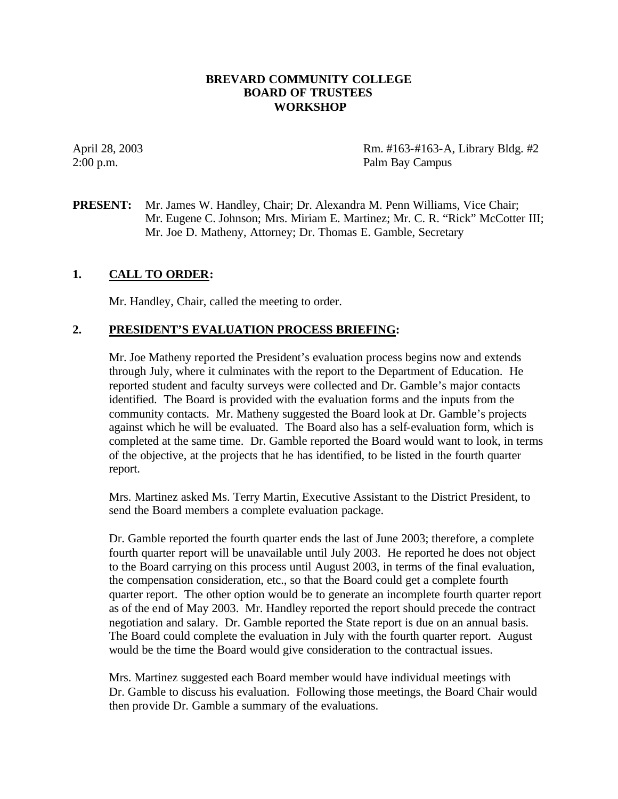### **BREVARD COMMUNITY COLLEGE BOARD OF TRUSTEES WORKSHOP**

April 28, 2003 Rm. #163-#163-A, Library Bldg. #2 2:00 p.m. Palm Bay Campus

**PRESENT:** Mr. James W. Handley, Chair; Dr. Alexandra M. Penn Williams, Vice Chair; Mr. Eugene C. Johnson; Mrs. Miriam E. Martinez; Mr. C. R. "Rick" McCotter III; Mr. Joe D. Matheny, Attorney; Dr. Thomas E. Gamble, Secretary

# **1. CALL TO ORDER:**

Mr. Handley, Chair, called the meeting to order.

### **2. PRESIDENT'S EVALUATION PROCESS BRIEFING:**

Mr. Joe Matheny reported the President's evaluation process begins now and extends through July, where it culminates with the report to the Department of Education. He reported student and faculty surveys were collected and Dr. Gamble's major contacts identified. The Board is provided with the evaluation forms and the inputs from the community contacts. Mr. Matheny suggested the Board look at Dr. Gamble's projects against which he will be evaluated. The Board also has a self-evaluation form, which is completed at the same time. Dr. Gamble reported the Board would want to look, in terms of the objective, at the projects that he has identified, to be listed in the fourth quarter report.

Mrs. Martinez asked Ms. Terry Martin, Executive Assistant to the District President, to send the Board members a complete evaluation package.

Dr. Gamble reported the fourth quarter ends the last of June 2003; therefore, a complete fourth quarter report will be unavailable until July 2003. He reported he does not object to the Board carrying on this process until August 2003, in terms of the final evaluation, the compensation consideration, etc., so that the Board could get a complete fourth quarter report. The other option would be to generate an incomplete fourth quarter report as of the end of May 2003. Mr. Handley reported the report should precede the contract negotiation and salary. Dr. Gamble reported the State report is due on an annual basis. The Board could complete the evaluation in July with the fourth quarter report. August would be the time the Board would give consideration to the contractual issues.

Mrs. Martinez suggested each Board member would have individual meetings with Dr. Gamble to discuss his evaluation. Following those meetings, the Board Chair would then provide Dr. Gamble a summary of the evaluations.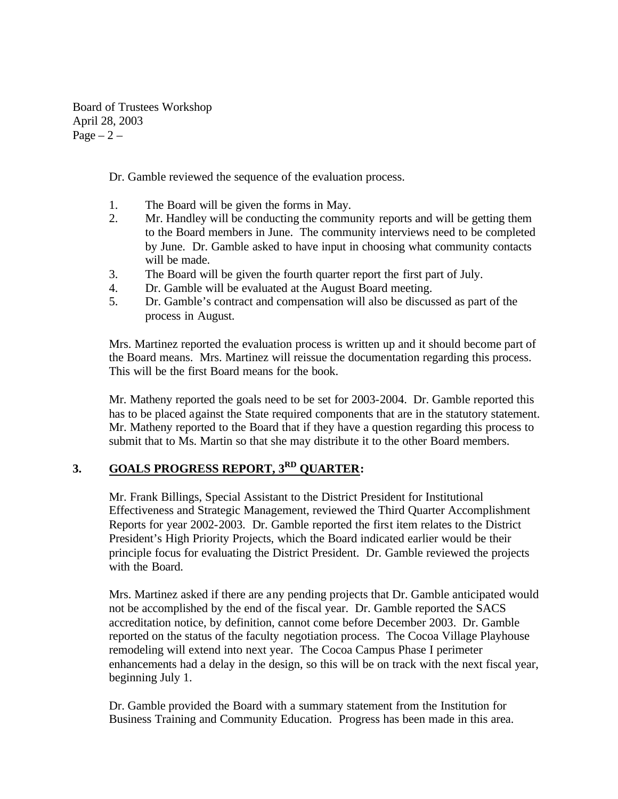Board of Trustees Workshop April 28, 2003 Page  $-2$  –

Dr. Gamble reviewed the sequence of the evaluation process.

- 1. The Board will be given the forms in May.
- 2. Mr. Handley will be conducting the community reports and will be getting them to the Board members in June. The community interviews need to be completed by June. Dr. Gamble asked to have input in choosing what community contacts will be made.
- 3. The Board will be given the fourth quarter report the first part of July.
- 4. Dr. Gamble will be evaluated at the August Board meeting.
- 5. Dr. Gamble's contract and compensation will also be discussed as part of the process in August.

Mrs. Martinez reported the evaluation process is written up and it should become part of the Board means. Mrs. Martinez will reissue the documentation regarding this process. This will be the first Board means for the book.

Mr. Matheny reported the goals need to be set for 2003-2004. Dr. Gamble reported this has to be placed against the State required components that are in the statutory statement. Mr. Matheny reported to the Board that if they have a question regarding this process to submit that to Ms. Martin so that she may distribute it to the other Board members.

# **3. GOALS PROGRESS REPORT, 3RD QUARTER:**

Mr. Frank Billings, Special Assistant to the District President for Institutional Effectiveness and Strategic Management, reviewed the Third Quarter Accomplishment Reports for year 2002-2003. Dr. Gamble reported the first item relates to the District President's High Priority Projects, which the Board indicated earlier would be their principle focus for evaluating the District President. Dr. Gamble reviewed the projects with the Board.

Mrs. Martinez asked if there are any pending projects that Dr. Gamble anticipated would not be accomplished by the end of the fiscal year. Dr. Gamble reported the SACS accreditation notice, by definition, cannot come before December 2003. Dr. Gamble reported on the status of the faculty negotiation process. The Cocoa Village Playhouse remodeling will extend into next year. The Cocoa Campus Phase I perimeter enhancements had a delay in the design, so this will be on track with the next fiscal year, beginning July 1.

Dr. Gamble provided the Board with a summary statement from the Institution for Business Training and Community Education. Progress has been made in this area.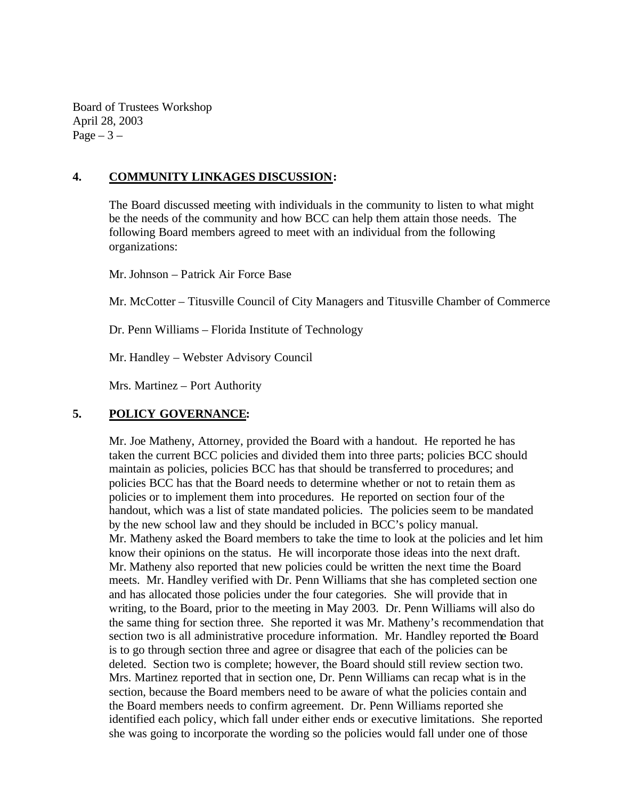Board of Trustees Workshop April 28, 2003 Page  $-3-$ 

## **4. COMMUNITY LINKAGES DISCUSSION:**

The Board discussed meeting with individuals in the community to listen to what might be the needs of the community and how BCC can help them attain those needs. The following Board members agreed to meet with an individual from the following organizations:

Mr. Johnson – Patrick Air Force Base

Mr. McCotter – Titusville Council of City Managers and Titusville Chamber of Commerce

Dr. Penn Williams – Florida Institute of Technology

Mr. Handley – Webster Advisory Council

Mrs. Martinez – Port Authority

### **5. POLICY GOVERNANCE:**

Mr. Joe Matheny, Attorney, provided the Board with a handout. He reported he has taken the current BCC policies and divided them into three parts; policies BCC should maintain as policies, policies BCC has that should be transferred to procedures; and policies BCC has that the Board needs to determine whether or not to retain them as policies or to implement them into procedures. He reported on section four of the handout, which was a list of state mandated policies. The policies seem to be mandated by the new school law and they should be included in BCC's policy manual. Mr. Matheny asked the Board members to take the time to look at the policies and let him know their opinions on the status. He will incorporate those ideas into the next draft. Mr. Matheny also reported that new policies could be written the next time the Board meets. Mr. Handley verified with Dr. Penn Williams that she has completed section one and has allocated those policies under the four categories. She will provide that in writing, to the Board, prior to the meeting in May 2003. Dr. Penn Williams will also do the same thing for section three. She reported it was Mr. Matheny's recommendation that section two is all administrative procedure information. Mr. Handley reported the Board is to go through section three and agree or disagree that each of the policies can be deleted. Section two is complete; however, the Board should still review section two. Mrs. Martinez reported that in section one, Dr. Penn Williams can recap what is in the section, because the Board members need to be aware of what the policies contain and the Board members needs to confirm agreement. Dr. Penn Williams reported she identified each policy, which fall under either ends or executive limitations. She reported she was going to incorporate the wording so the policies would fall under one of those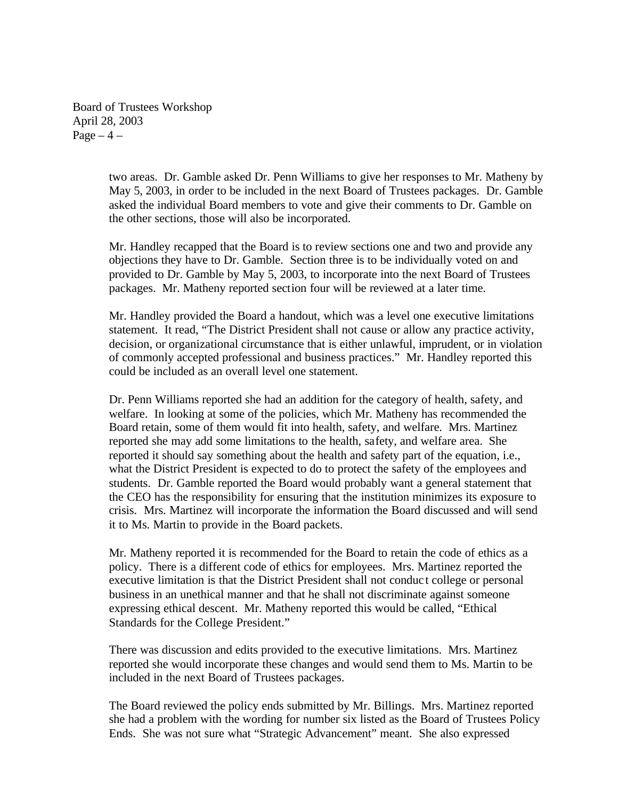Board of Trustees Workshop April 28, 2003 Page  $-4$  –

> two areas. Dr. Gamble asked Dr. Penn Williams to give her responses to Mr. Matheny by May 5, 2003, in order to be included in the next Board of Trustees packages. Dr. Gamble asked the individual Board members to vote and give their comments to Dr. Gamble on the other sections, those will also be incorporated.

Mr. Handley recapped that the Board is to review sections one and two and provide any objections they have to Dr. Gamble. Section three is to be individually voted on and provided to Dr. Gamble by May 5, 2003, to incorporate into the next Board of Trustees packages. Mr. Matheny reported section four will be reviewed at a later time.

Mr. Handley provided the Board a handout, which was a level one executive limitations statement. It read, "The District President shall not cause or allow any practice activity, decision, or organizational circumstance that is either unlawful, imprudent, or in violation of commonly accepted professional and business practices." Mr. Handley reported this could be included as an overall level one statement.

Dr. Penn Williams reported she had an addition for the category of health, safety, and welfare. In looking at some of the policies, which Mr. Matheny has recommended the Board retain, some of them would fit into health, safety, and welfare. Mrs. Martinez reported she may add some limitations to the health, safety, and welfare area. She reported it should say something about the health and safety part of the equation, i.e., what the District President is expected to do to protect the safety of the employees and students. Dr. Gamble reported the Board would probably want a general statement that the CEO has the responsibility for ensuring that the institution minimizes its exposure to crisis. Mrs. Martinez will incorporate the information the Board discussed and will send it to Ms. Martin to provide in the Board packets.

Mr. Matheny reported it is recommended for the Board to retain the code of ethics as a policy. There is a different code of ethics for employees. Mrs. Martinez reported the executive limitation is that the District President shall not conduc t college or personal business in an unethical manner and that he shall not discriminate against someone expressing ethical descent. Mr. Matheny reported this would be called, "Ethical Standards for the College President."

There was discussion and edits provided to the executive limitations. Mrs. Martinez reported she would incorporate these changes and would send them to Ms. Martin to be included in the next Board of Trustees packages.

The Board reviewed the policy ends submitted by Mr. Billings. Mrs. Martinez reported she had a problem with the wording for number six listed as the Board of Trustees Policy Ends. She was not sure what "Strategic Advancement" meant. She also expressed